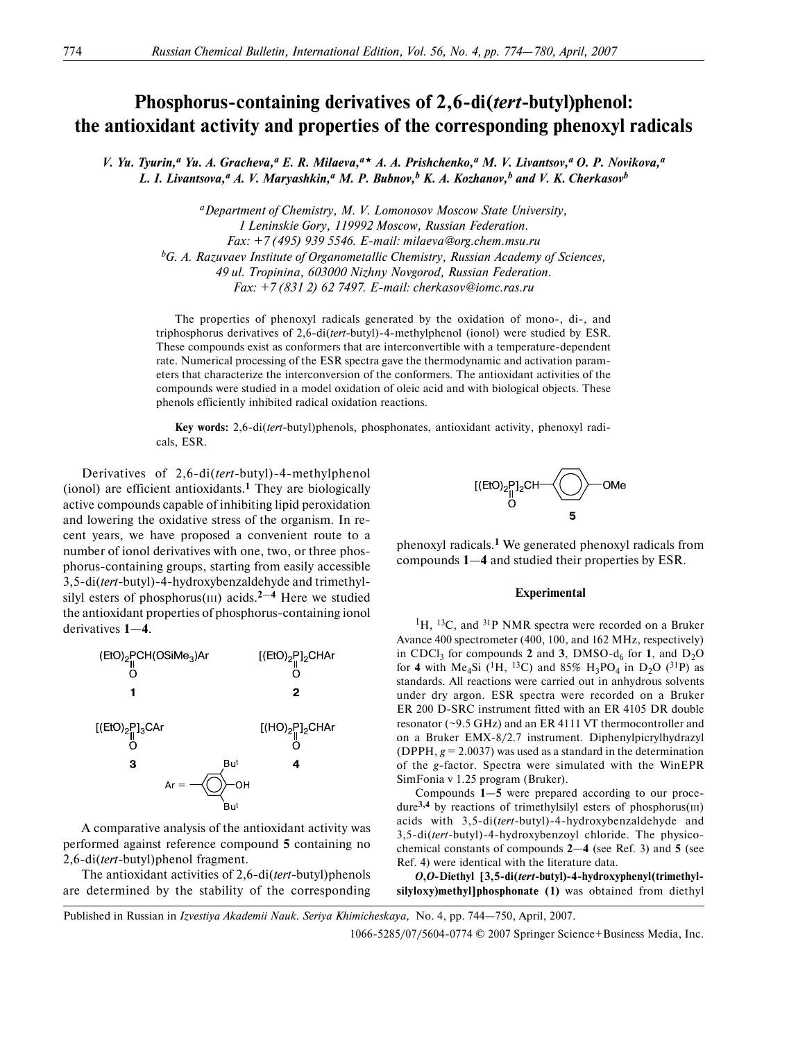# **Phosphorus-containing derivatives of 2,6-di(***tert***-butyl)phenol: the antioxidant activity and properties of the corresponding phenoxyl radicals**

*V. Yu. Tyurin,a Yu. A. Gracheva,a E. R. Milaeva,a A. A. Prishchenko,a M. V. Livantsov,a O. P. Novikova,a* L. I. Livantsova,<sup>a</sup> A. V. Maryashkin,<sup>a</sup> M. P. Bubnov,<sup>b</sup> K. A. Kozhanov,<sup>b</sup> and V. K. Cherkasov<sup>b</sup>

*aDepartment of Chemistry, M. V. Lomonosov Moscow State University, 1 Leninskie Gory, 119992 Moscow, Russian Federation. Fax: +7 (495) 939 5546. Email: milaeva@org.chem.msu.ru bG. A. Razuvaev Institute of Organometallic Chemistry, Russian Academy of Sciences, 49 ul. Tropinina, 603000 Nizhny Novgorod, Russian Federation. Fax: +7 (831 2) 62 7497. Email: cherkasov@iomc.ras.ru*

The properties of phenoxyl radicals generated by the oxidation of mono-, di-, and triphosphorus derivatives of 2,6-di(*tert*-butyl)-4-methylphenol (ionol) were studied by ESR. These compounds exist as conformers that are interconvertible with a temperature-dependent rate. Numerical processing of the ESR spectra gave the thermodynamic and activation param eters that characterize the interconversion of the conformers. The antioxidant activities of the compounds were studied in a model oxidation of oleic acid and with biological objects. These phenols efficiently inhibited radical oxidation reactions.

Key words: 2,6-di(tert-butyl)phenols, phosphonates, antioxidant activity, phenoxyl radicals, ESR.

Derivatives of 2,6-di(*tert*-butyl)-4-methylphenol (ionol) are efficient antioxidants.**1** They are biologically active compounds capable of inhibiting lipid peroxidation and lowering the oxidative stress of the organism. In re cent years, we have proposed a convenient route to a number of ionol derivatives with one, two, or three phos phorus-containing groups, starting from easily accessible 3,5-di(*tert*-butyl)-4-hydroxybenzaldehyde and trimethylsilyl esters of phosphorus(III) acids.**2**—**4** Here we studied the antioxidant properties of phosphorus-containing ionol derivatives **1**—**4**.



A comparative analysis of the antioxidant activity was performed against reference compound **5** containing no 2,6-di(*tert*-butyl)phenol fragment.

The antioxidant activities of 2,6-di(*tert*-butyl)phenols are determined by the stability of the corresponding



phenoxyl radicals.**1** We generated phenoxyl radicals from compounds **1**—**4** and studied their properties by ESR.

### **Experimental**

 ${}^{1}$ H,  ${}^{13}$ C, and  ${}^{31}$ P NMR spectra were recorded on a Bruker Avance 400 spectrometer (400, 100, and 162 MHz, respectively) in CDCl<sub>3</sub> for compounds 2 and 3, DMSO- $d_6$  for 1, and D<sub>2</sub>O for **4** with Me<sub>4</sub>Si (<sup>1</sup>H, <sup>13</sup>C) and 85% H<sub>3</sub>PO<sub>4</sub> in D<sub>2</sub>O (<sup>31</sup>P) as standards. All reactions were carried out in anhydrous solvents under dry argon. ESR spectra were recorded on a Bruker ER 200 D-SRC instrument fitted with an ER 4105 DR double resonator (~9.5 GHz) and an ER 4111 VT thermocontroller and on a Bruker EMX-8/2.7 instrument. Diphenylpicrylhydrazyl (DPPH, *g* = 2.0037) was used as a standard in the determination of the *g*-factor. Spectra were simulated with the WinEPR SimFonia v 1.25 program (Bruker).

Compounds **1**—**5** were prepared according to our proce dure**3,4** by reactions of trimethylsilyl esters of phosphorus(III) acids with 3,5-di(*tert*-butyl)-4-hydroxybenzaldehyde and 3,5-di(*tert*-butyl)-4-hydroxybenzoyl chloride. The physicochemical constants of compounds **2**—**4** (see Ref. 3) and **5** (see Ref. 4) were identical with the literature data.

*O***,***O***Diethyl [3,5di(***tert***butyl)4hydroxyphenyl(trimethyl silyloxy)methyl]phosphonate (1)** was obtained from diethyl

Published in Russian in *Izvestiya Akademii Nauk. Seriya Khimicheskaya,* No. 4, pp. 744—750, April, 2007.

1066-5285/07/5604-0774 © 2007 Springer Science+Business Media, Inc.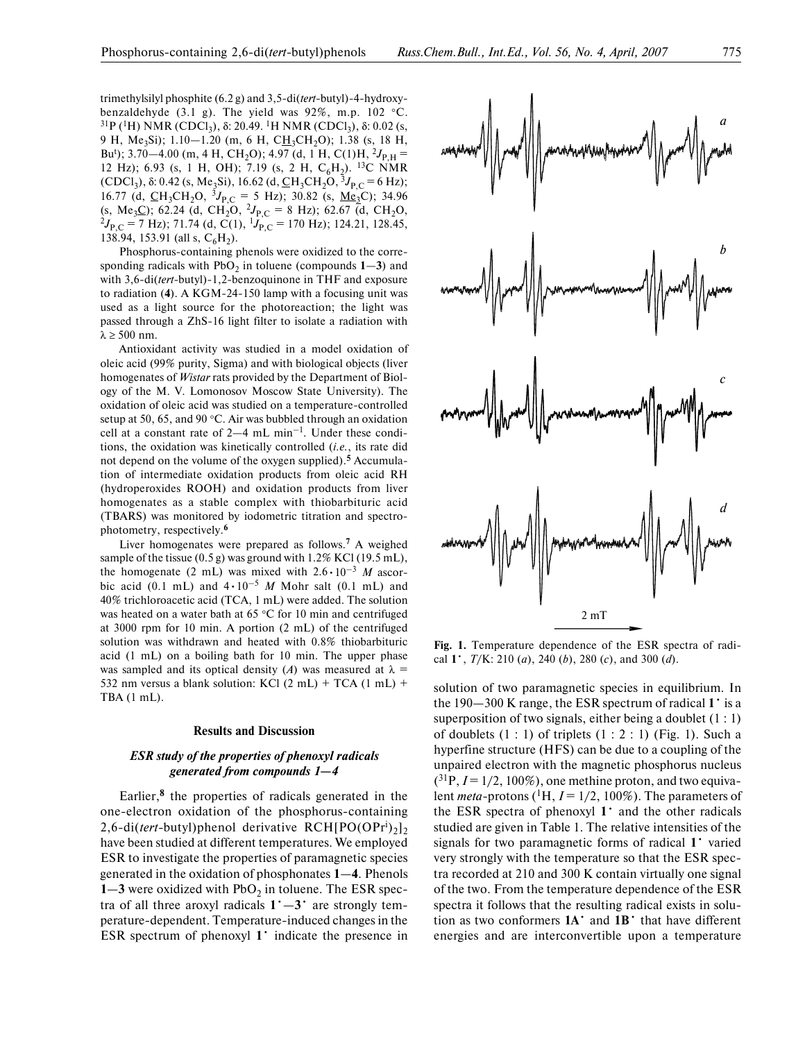trimethylsilyl phosphite (6.2 g) and 3,5-di(*tert*-butyl)-4-hydroxybenzaldehyde (3.1 g). The yield was 92%, m.p. 102 °C. <sup>31</sup>P (<sup>1</sup>H) NMR (CDCl<sub>3</sub>), δ: 20.49. <sup>1</sup>H NMR (CDCl<sub>3</sub>), δ: 0.02 (s, 9 H, Me<sub>3</sub>Si); 1.10–1.20 (m, 6 H, CH<sub>3</sub>CH<sub>2</sub>O); 1.38 (s, 18 H, Bu<sup>t</sup>); 3.70–4.00 (m, 4 H, CH<sub>2</sub>O); 4.97 (d, 1 H, C(1)H, <sup>2</sup> $J_{P,H}$  = 12 Hz); 6.93 (s, 1 H, OH); 7.19 (s, 2 H, C<sub>6</sub>H<sub>2</sub>). <sup>13</sup>C NMR (CDCl<sub>3</sub>), δ: 0.42 (s, Me<sub>3</sub>Si), 16.62 (d, <u>C</u>H<sub>3</sub>CH<sub>2</sub>O, <sup>3</sup>J<sub>P,C</sub> = 6 Hz); 16.77 (d,  $\text{CH}_3\text{CH}_2\text{O}$ ,  ${}^3J_{P,C} = 5$  Hz); 30.82 (s, <u>Me</u><sub>3</sub>C); 34.96 (s, Me<sub>3</sub>C); 62.24 (d, CH<sub>2</sub>O, <sup>2</sup>J<sub>P,C</sub> = 8 Hz); 62.67 (d, CH<sub>2</sub>O,  $^{2}J_{P,C}$  = 7 Hz); 71.74 (d, C(1),  $^{1}J_{P,C}$  = 170 Hz); 124.21, 128.45, 138.94, 153.91 (all s,  $C_6H_2$ ).

Phosphorus-containing phenols were oxidized to the corresponding radicals with  $PbO<sub>2</sub>$  in toluene (compounds  $1-3$ ) and with 3,6-di(*tert*-butyl)-1,2-benzoquinone in THF and exposure to radiation (4). A KGM-24-150 lamp with a focusing unit was used as a light source for the photoreaction; the light was passed through a ZhS-16 light filter to isolate a radiation with  $λ ≥ 500$  nm.

Antioxidant activity was studied in a model oxidation of oleic acid (99% purity, Sigma) and with biological objects (liver homogenates of *Wistar* rats provided by the Department of Biol ogy of the M. V. Lomonosov Moscow State University). The oxidation of oleic acid was studied on a temperature-controlled setup at 50, 65, and 90 °C. Air was bubbled through an oxidation cell at a constant rate of  $2-4$  mL min<sup>-1</sup>. Under these conditions, the oxidation was kinetically controlled (*i.e.*, its rate did not depend on the volume of the oxygen supplied).**5** Accumula tion of intermediate oxidation products from oleic acid RH (hydroperoxides ROOH) and oxidation products from liver homogenates as a stable complex with thiobarbituric acid (TBARS) was monitored by iodometric titration and spectro photometry, respectively.**<sup>6</sup>**

Liver homogenates were prepared as follows.**7** A weighed sample of the tissue (0.5 g) was ground with 1.2% KCl (19.5 mL), the homogenate (2 mL) was mixed with  $2.6 \cdot 10^{-3}$  *M* ascorbic acid (0.1 mL) and  $4 \cdot 10^{-5}$  *M* Mohr salt (0.1 mL) and 40% trichloroacetic acid (TCA, 1 mL) were added. The solution was heated on a water bath at 65 °C for 10 min and centrifuged at 3000 rpm for 10 min. A portion (2 mL) of the centrifuged solution was withdrawn and heated with 0.8% thiobarbituric acid (1 mL) on a boiling bath for 10 min. The upper phase was sampled and its optical density (*A*) was measured at  $\lambda$  = 532 nm versus a blank solution: KCl  $(2 \text{ mL}) + TCA (1 \text{ mL}) +$ TBA (1 mL).

#### **Results and Discussion**

# *ESR study of the properties of phenoxyl radicals generated from compounds 1—4*

Earlier,**8** the properties of radicals generated in the one-electron oxidation of the phosphorus-containing 2,6-di(*tert*-butyl)phenol derivative RCH[PO(OPr<sup>i</sup>)<sub>2</sub>]<sub>2</sub> have been studied at different temperatures. We employed ESR to investigate the properties of paramagnetic species generated in the oxidation of phosphonates **1**—**4**. Phenols  $1 - 3$  were oxidized with  $PbO<sub>2</sub>$  in toluene. The ESR spectra of all three aroxyl radicals  $1^{\circ} - 3^{\circ}$  are strongly temperature-dependent. Temperature-induced changes in the ESR spectrum of phenoxyl **1**• indicate the presence in



**Fig. 1.** Temperature dependence of the ESR spectra of radi cal **1**•, *T*/K: 210 (*a*), 240 (*b*), 280 (*c*), and 300 (*d*).

solution of two paramagnetic species in equilibrium. In the 190—300 K range, the ESR spectrum of radical **1**• is a superposition of two signals, either being a doublet  $(1:1)$ of doublets  $(1:1)$  of triplets  $(1:2:1)$  (Fig. 1). Such a hyperfine structure (HFS) can be due to a coupling of the unpaired electron with the magnetic phosphorus nucleus  $(^{31}P, I = 1/2, 100\%)$ , one methine proton, and two equivalent *meta*-protons ( $^1H$ ,  $I = 1/2$ , 100%). The parameters of the ESR spectra of phenoxyl **1**• and the other radicals studied are given in Table 1. The relative intensities of the signals for two paramagnetic forms of radical **1**• varied very strongly with the temperature so that the ESR spec tra recorded at 210 and 300 K contain virtually one signal of the two. From the temperature dependence of the ESR spectra it follows that the resulting radical exists in solu tion as two conformers **1A**• and **1B**• that have different energies and are interconvertible upon a temperature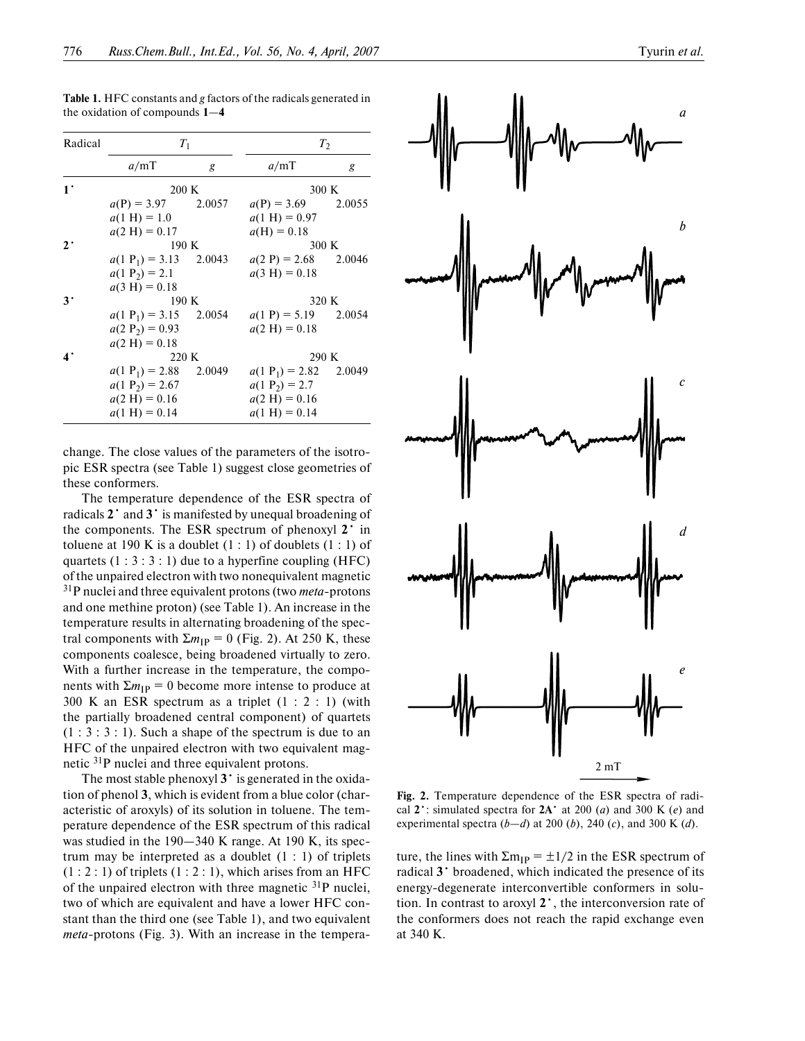| Radical     | $T_1$                            |   | T <sub>2</sub>                   |   |
|-------------|----------------------------------|---|----------------------------------|---|
|             | a/mT                             | g | a/mT                             | g |
| $1^{\cdot}$ | 200 K                            |   | 300 K                            |   |
|             | $a(P) = 3.97$ 2.0057             |   | $a(P) = 3.69$ 2.0055             |   |
|             | $a(1 \text{ H}) = 1.0$           |   | $a(1 \text{ H}) = 0.97$          |   |
|             | $a(2 \text{ H}) = 0.17$          |   | $a(H) = 0.18$                    |   |
| $2^{\cdot}$ | 190K                             |   | 300 K                            |   |
|             | $a(1 \text{ P}_1) = 3.13$ 2.0043 |   | $a(2 P) = 2.68$ 2.0046           |   |
|             | $a(1 \text{ P}_2) = 2.1$         |   | $a(3 \text{ H}) = 0.18$          |   |
|             | $a(3 \text{ H}) = 0.18$          |   |                                  |   |
| $3^{\cdot}$ | 190K                             |   | 320 K                            |   |
|             | $a(1 \text{ P}_1) = 3.15$ 2.0054 |   | $a(1 \text{ P}) = 5.19$ 2.0054   |   |
|             | $a(2 P_2) = 0.93$                |   | $a(2 \text{ H}) = 0.18$          |   |
|             | $a(2 \text{ H}) = 0.18$          |   |                                  |   |
| 4.          | 220 K                            |   | 290 K                            |   |
|             | $a(1 \text{ P}_1) = 2.88$ 2.0049 |   | $a(1 \text{ P}_1) = 2.82$ 2.0049 |   |
|             | $a(1 \text{ P}_2) = 2.67$        |   | $a(1 \text{ P}_2) = 2.7$         |   |
|             | $a(2 \text{ H}) = 0.16$          |   | $a(2 \text{ H}) = 0.16$          |   |
|             | $a(1 \text{ H}) = 0.14$          |   | $a(1 \text{ H}) = 0.14$          |   |

**Table 1.** HFC constants and *g* factors of the radicals generated in the oxidation of compounds **1**—**4**

change. The close values of the parameters of the isotro pic ESR spectra (see Table 1) suggest close geometries of these conformers.

The temperature dependence of the ESR spectra of radicals **2**• and **3**• is manifested by unequal broadening of the components. The ESR spectrum of phenoxyl **2**• in toluene at 190 K is a doublet  $(1:1)$  of doublets  $(1:1)$  of quartets  $(1:3:3:1)$  due to a hyperfine coupling (HFC) of the unpaired electron with two nonequivalent magnetic <sup>31</sup>P nuclei and three equivalent protons (two *meta*-protons and one methine proton) (see Table 1). An increase in the temperature results in alternating broadening of the spec tral components with  $\Sigma m_{\text{IP}} = 0$  (Fig. 2). At 250 K, these components coalesce, being broadened virtually to zero. With a further increase in the temperature, the compo nents with  $\Sigma m_{\text{IP}} = 0$  become more intense to produce at 300 K an ESR spectrum as a triplet  $(1 : 2 : 1)$  (with the partially broadened central component) of quartets  $(1:3:3:1)$ . Such a shape of the spectrum is due to an HFC of the unpaired electron with two equivalent mag netic 31P nuclei and three equivalent protons.

The most stable phenoxyl **3**• is generated in the oxida tion of phenol **3**, which is evident from a blue color (char acteristic of aroxyls) of its solution in toluene. The tem perature dependence of the ESR spectrum of this radical was studied in the 190–340 K range. At 190 K, its spectrum may be interpreted as a doublet  $(1:1)$  of triplets  $(1:2:1)$  of triplets  $(1:2:1)$ , which arises from an HFC of the unpaired electron with three magnetic  $31P$  nuclei, two of which are equivalent and have a lower HFC con stant than the third one (see Table 1), and two equivalent *meta*-protons (Fig. 3). With an increase in the tempera-



**Fig. 2.** Temperature dependence of the ESR spectra of radi cal  $2^{\cdot}$ : simulated spectra for  $2A^{\cdot}$  at 200 (*a*) and 300 K (*e*) and experimental spectra (*b*—*d*) at 200 (*b*), 240 (*c*), and 300 K (*d*).

ture, the lines with  $\Sigma m_{IP} = \pm 1/2$  in the ESR spectrum of radical **3**• broadened, which indicated the presence of its energy-degenerate interconvertible conformers in solution. In contrast to aroxyl **2**•, the interconversion rate of the conformers does not reach the rapid exchange even at 340 K.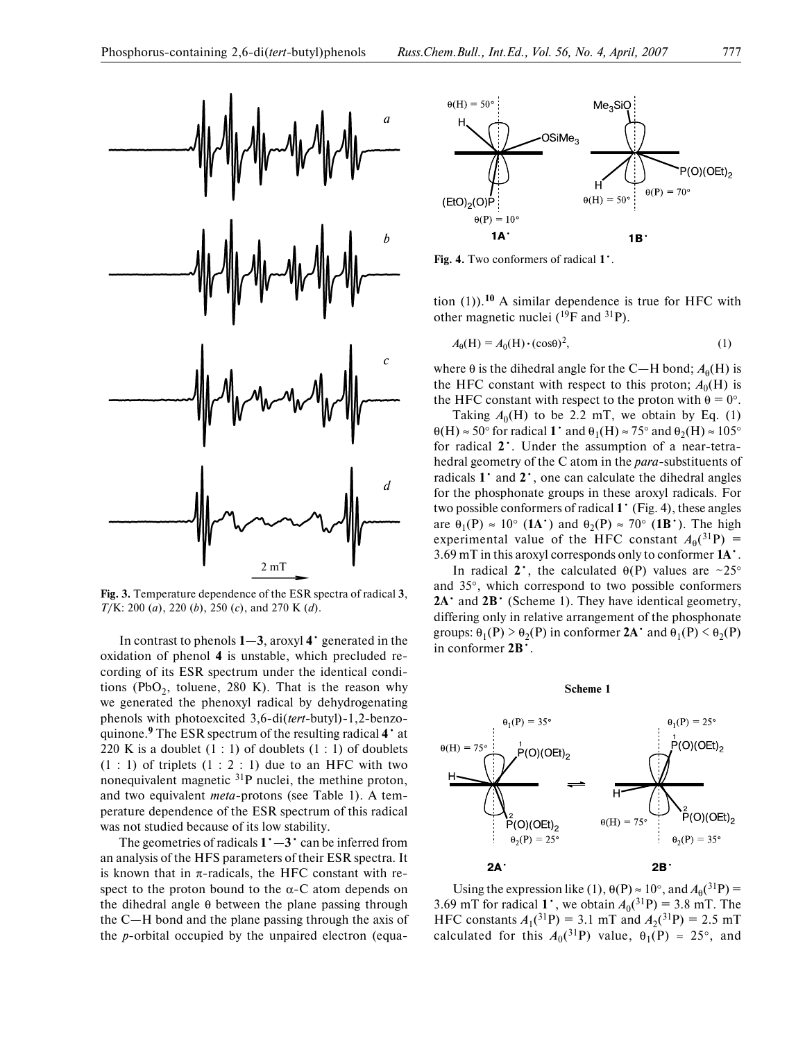

**Fig. 3.** Temperature dependence of the ESR spectra of radical **3**, *T*/K: 200 (*a*), 220 (*b*), 250 (*c*), and 270 K (*d*).

In contrast to phenols **1**—**3**, aroxyl **4**• generated in the oxidation of phenol **4** is unstable, which precluded re cording of its ESR spectrum under the identical condi tions (PbO<sub>2</sub>, toluene, 280 K). That is the reason why we generated the phenoxyl radical by dehydrogenating phenols with photoexcited 3,6-di(*tert*-butyl)-1,2-benzoquinone.**9** The ESR spectrum of the resulting radical **4**• at 220 K is a doublet  $(1:1)$  of doublets  $(1:1)$  of doublets  $(1:1)$  of triplets  $(1:2:1)$  due to an HFC with two nonequivalent magnetic 31P nuclei, the methine proton, and two equivalent *meta*-protons (see Table 1). A temperature dependence of the ESR spectrum of this radical was not studied because of its low stability.

The geometries of radicals  $1^\circ - 3^\circ$  can be inferred from an analysis of the HFS parameters of their ESR spectra. It is known that in  $\pi$ -radicals, the HFC constant with respect to the proton bound to the  $\alpha$ -C atom depends on the dihedral angle  $θ$  between the plane passing through the C—H bond and the plane passing through the axis of the *p*-orbital occupied by the unpaired electron (equa-



**Fig. 4.** Two conformers of radical **1**•.

tion (1)).**10** A similar dependence is true for HFC with other magnetic nuclei  $(^{19}F$  and  $^{31}P$ ).

$$
A_{\theta}(\mathbf{H}) = A_0(\mathbf{H}) \cdot (\cos \theta)^2, \tag{1}
$$

where  $\theta$  is the dihedral angle for the C—H bond;  $A_{\theta}$ (H) is the HFC constant with respect to this proton;  $A_0(H)$  is the HFC constant with respect to the proton with  $\theta = 0^{\circ}$ .

Taking  $A_0(H)$  to be 2.2 mT, we obtain by Eq. (1)  $\theta$ (H)  $\approx$  50° for radical **1** and  $\theta$ <sub>1</sub>(H)  $\approx$  75° and  $\theta$ <sub>2</sub>(H)  $\approx$  105° for radical 2<sup>•</sup>. Under the assumption of a near-tetrahedral geometry of the C atom in the *para*-substituents of radicals **1**• and **2**•, one can calculate the dihedral angles for the phosphonate groups in these aroxyl radicals. For two possible conformers of radical **1**• (Fig. 4), these angles are  $\theta_1(P) \approx 10^\circ$  (**1A**<sup>•</sup>) and  $\theta_2(P) \approx 70^\circ$  (**1B**<sup>•</sup>). The high experimental value of the HFC constant  $A_{\theta}$ (<sup>31</sup>P) = 3.69 mT in this aroxyl corresponds only to conformer **1A**•.

In radical 2<sup>•</sup>, the calculated  $\theta(P)$  values are ~25° and 35°, which correspond to two possible conformers 2A<sup>•</sup> and 2B<sup>•</sup> (Scheme 1). They have identical geometry, differing only in relative arrangement of the phosphonate groups:  $\theta_1(P) > \theta_2(P)$  in conformer **2A**<sup>•</sup> and  $\theta_1(P) < \theta_2(P)$ in conformer **2B**•.

**Scheme 1**



Using the expression like (1),  $\theta(P) \approx 10^{\circ}$ , and  $A_{\theta}(^{31}P) =$ 3.69 mT for radical **1**<sup>•</sup>, we obtain  $A_0(^{31}P) = 3.8$  mT. The HFC constants  $A_1(^{31}P) = 3.1$  mT and  $A_2(^{31}P) = 2.5$  mT calculated for this  $A_0({}^{31}P)$  value,  $\theta_1(P) \approx 25^\circ$ , and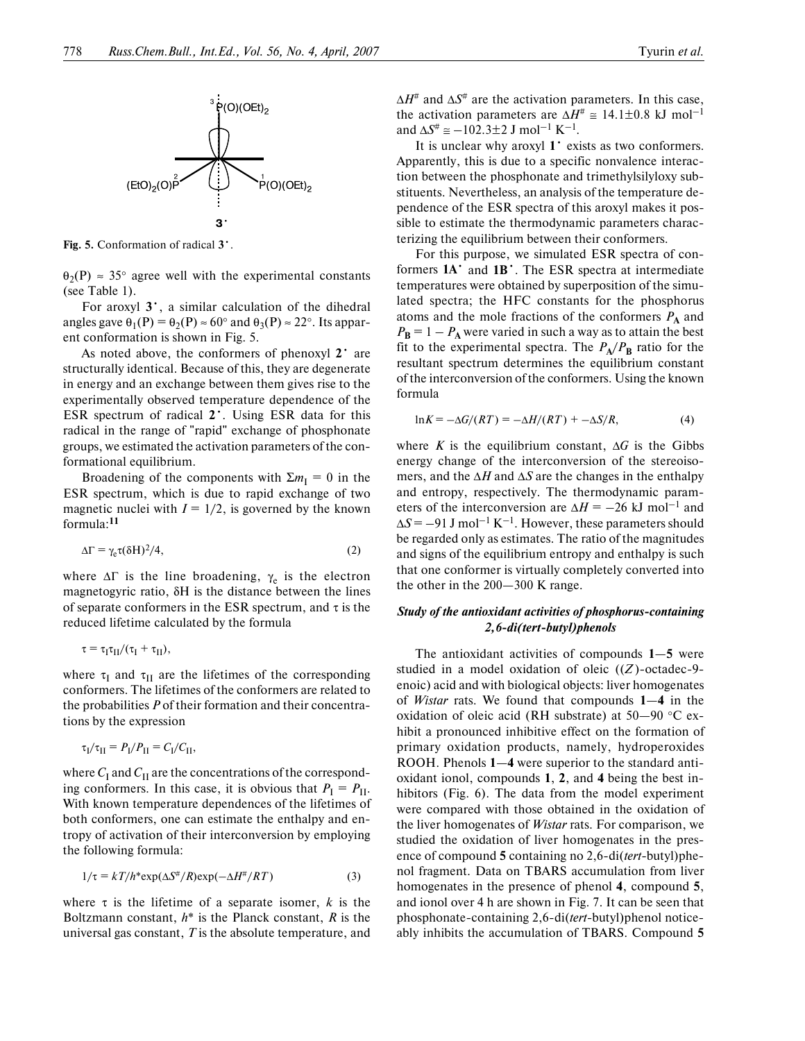

**Fig. 5.** Conformation of radical **3**•.

 $\theta_2(P) \approx 35^\circ$  agree well with the experimental constants (see Table 1).

For aroxyl **3**•, a similar calculation of the dihedral angles gave  $\theta_1(P) = \theta_2(P) \approx 60^\circ$  and  $\theta_3(P) \approx 22^\circ$ . Its apparent conformation is shown in Fig. 5.

As noted above, the conformers of phenoxyl **2**• are structurally identical. Because of this, they are degenerate in energy and an exchange between them gives rise to the experimentally observed temperature dependence of the ESR spectrum of radical **2**•. Using ESR data for this radical in the range of "rapid" exchange of phosphonate groups, we estimated the activation parameters of the con formational equilibrium.

Broadening of the components with  $\Sigma m_{\rm I} = 0$  in the ESR spectrum, which is due to rapid exchange of two magnetic nuclei with  $I = 1/2$ , is governed by the known formula:**<sup>11</sup>**

$$
\Delta \Gamma = \gamma_e \tau (\delta H)^2 / 4, \tag{2}
$$

where  $\Delta\Gamma$  is the line broadening,  $\gamma_e$  is the electron magnetogyric ratio, δH is the distance between the lines of separate conformers in the ESR spectrum, and  $\tau$  is the reduced lifetime calculated by the formula

$$
\tau = \tau_I \tau_{II}/(\tau_I + \tau_{II}),
$$

where  $\tau_{\text{I}}$  and  $\tau_{\text{II}}$  are the lifetimes of the corresponding conformers. The lifetimes of the conformers are related to the probabilities *P* of their formation and their concentra tions by the expression

$$
\tau_{\rm I}/\tau_{\rm II} = P_{\rm I}/P_{\rm II} = C_{\rm I}/C_{\rm II},
$$

where  $C_I$  and  $C_{II}$  are the concentrations of the corresponding conformers. In this case, it is obvious that  $P_I = P_{II}$ . With known temperature dependences of the lifetimes of both conformers, one can estimate the enthalpy and en tropy of activation of their interconversion by employing the following formula:

$$
1/\tau = kT/h^* \exp(\Delta S^{\#}/R) \exp(-\Delta H^{\#}/RT) \tag{3}
$$

where  $\tau$  is the lifetime of a separate isomer, *k* is the Boltzmann constant, *h*\* is the Planck constant, *R* is the universal gas constant, *T* is the absolute temperature, and  $\Delta H^{\#}$  and  $\Delta S^{\#}$  are the activation parameters. In this case, the activation parameters are  $\Delta H^{\#} \approx 14.1 \pm 0.8$  kJ mol<sup>-1</sup> and  $\Delta S^{\#}$   $\cong$  -102.3±2 J mol<sup>-1</sup> K<sup>-1</sup>.

It is unclear why aroxyl **1**• exists as two conformers. Apparently, this is due to a specific nonvalence interac tion between the phosphonate and trimethylsilyloxy sub stituents. Nevertheless, an analysis of the temperature de pendence of the ESR spectra of this aroxyl makes it pos sible to estimate the thermodynamic parameters charac terizing the equilibrium between their conformers.

For this purpose, we simulated ESR spectra of con formers **1A**• and **1B**•. The ESR spectra at intermediate temperatures were obtained by superposition of the simu lated spectra; the HFC constants for the phosphorus atoms and the mole fractions of the conformers  $P_A$  and  $P_{\bf B}$  = 1 –  $P_{\bf A}$  were varied in such a way as to attain the best fit to the experimental spectra. The  $P_A/P_B$  ratio for the resultant spectrum determines the equilibrium constant of the interconversion of the conformers. Using the known formula

$$
\ln K = -\Delta G/(RT) = -\Delta H/(RT) + -\Delta S/R,\tag{4}
$$

where *K* is the equilibrium constant,  $\Delta G$  is the Gibbs energy change of the interconversion of the stereoiso mers, and the ∆*H* and ∆*S* are the changes in the enthalpy and entropy, respectively. The thermodynamic param eters of the interconversion are  $\Delta H = -26$  kJ mol<sup>-1</sup> and  $\Delta S = -91$  J mol<sup>-1</sup> K<sup>-1</sup>. However, these parameters should be regarded only as estimates. The ratio of the magnitudes and signs of the equilibrium entropy and enthalpy is such that one conformer is virtually completely converted into the other in the 200—300 K range.

## *Study of the antioxidant activities of phosphorus-containing* 2,6-di(tert-butyl)phenols

The antioxidant activities of compounds **1**—**5** were studied in a model oxidation of oleic  $((Z)$ -octadec-9enoic) acid and with biological objects: liver homogenates of *Wistar* rats. We found that compounds **1**—**4** in the oxidation of oleic acid (RH substrate) at  $50-90$  °C exhibit a pronounced inhibitive effect on the formation of primary oxidation products, namely, hydroperoxides ROOH. Phenols **1**—**4** were superior to the standard anti oxidant ionol, compounds **1**, **2**, and **4** being the best in hibitors (Fig. 6). The data from the model experiment were compared with those obtained in the oxidation of the liver homogenates of *Wistar* rats. For comparison, we studied the oxidation of liver homogenates in the pres ence of compound 5 containing no 2,6-di(*tert*-butyl)phenol fragment. Data on TBARS accumulation from liver homogenates in the presence of phenol **4**, compound **5**, and ionol over 4 h are shown in Fig. 7. It can be seen that phosphonate-containing 2,6-di(tert-butyl)phenol noticeably inhibits the accumulation of TBARS. Compound **5**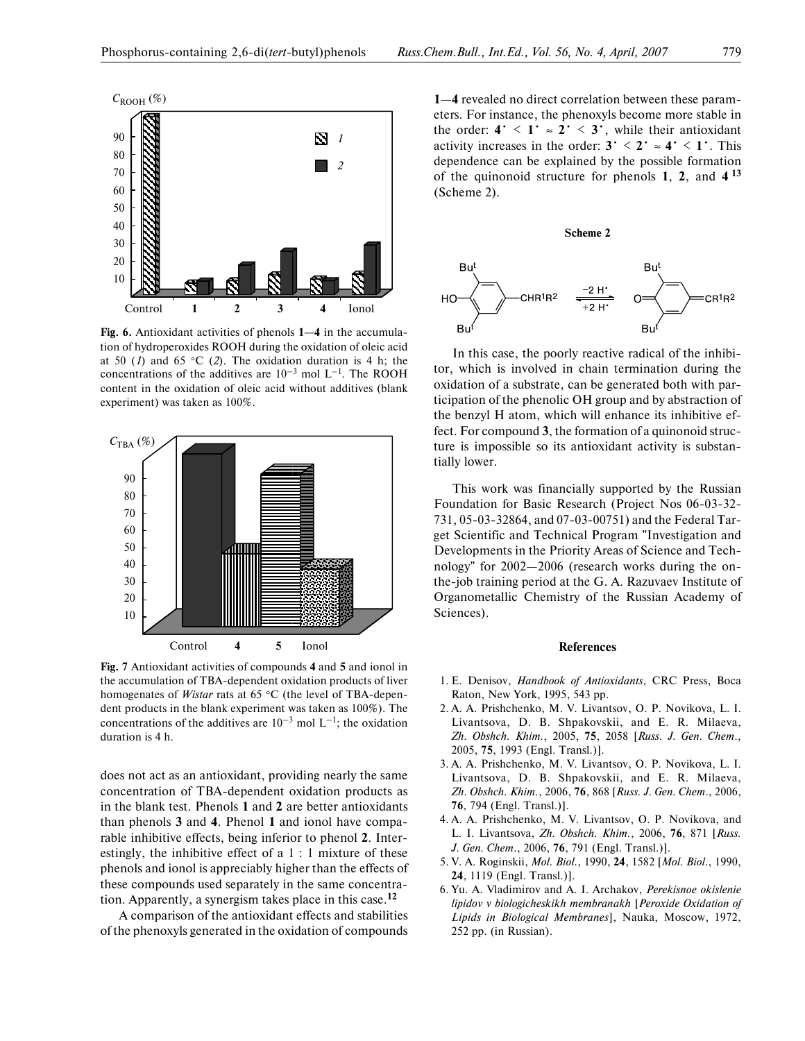

**Fig. 6.** Antioxidant activities of phenols **1**—**4** in the accumula tion of hydroperoxides ROOH during the oxidation of oleic acid at 50 (*1*) and 65 °C (*2*). The oxidation duration is 4 h; the concentrations of the additives are  $10^{-3}$  mol  $L^{-1}$ . The ROOH content in the oxidation of oleic acid without additives (blank experiment) was taken as 100%.



**Fig. 7** Antioxidant activities of compounds **4** and **5** and ionol in the accumulation of TBA-dependent oxidation products of liver homogenates of *Wistar* rats at 65 °C (the level of TBA-dependent products in the blank experiment was taken as 100%). The concentrations of the additives are  $10^{-3}$  mol  $L^{-1}$ ; the oxidation duration is 4 h.

does not act as an antioxidant, providing nearly the same concentration of TBA-dependent oxidation products as in the blank test. Phenols **1** and **2** are better antioxidants than phenols **3** and **4**. Phenol **1** and ionol have compa rable inhibitive effects, being inferior to phenol **2**. Inter estingly, the inhibitive effect of a 1 : 1 mixture of these phenols and ionol is appreciably higher than the effects of these compounds used separately in the same concentra tion. Apparently, a synergism takes place in this case.**<sup>12</sup>**

A comparison of the antioxidant effects and stabilities of the phenoxyls generated in the oxidation of compounds

**1**—**4** revealed no direct correlation between these param eters. For instance, the phenoxyls become more stable in the order:  $4 \cdot 1 \cdot 2 \cdot 3 \cdot$ , while their antioxidant activity increases in the order:  $3 \cdot \langle 2 \cdot \rangle \approx 4 \cdot \langle 1 \cdot \rangle$ . This dependence can be explained by the possible formation of the quinonoid structure for phenols **1**, **2**, and **4 <sup>13</sup>** (Scheme 2).



In this case, the poorly reactive radical of the inhibi tor, which is involved in chain termination during the oxidation of a substrate, can be generated both with par ticipation of the phenolic OH group and by abstraction of the benzyl H atom, which will enhance its inhibitive ef fect. For compound **3**, the formation of a quinonoid struc ture is impossible so its antioxidant activity is substan tially lower.

This work was financially supported by the Russian Foundation for Basic Research (Project Nos 06-03-32-731, 05-03-32864, and 07-03-00751) and the Federal Target Scientific and Technical Program "Investigation and Developments in the Priority Areas of Science and Tech nology" for 2002—2006 (research works during the on the-job training period at the G. A. Razuvaev Institute of Organometallic Chemistry of the Russian Academy of Sciences).

#### **References**

- 1. E. Denisov, *Handbook of Antioxidants*, CRC Press, Boca Raton, New York, 1995, 543 pp.
- 2. A. A. Prishchenko, M. V. Livantsov, O. P. Novikova, L. I. Livantsova, D. B. Shpakovskii, and E. R. Milaeva, *Zh. Obshch. Khim.*, 2005, **75**, 2058 [*Russ. J. Gen. Chem*., 2005, **75**, 1993 (Engl. Transl.)].
- 3. A. A. Prishchenko, M. V. Livantsov, O. P. Novikova, L. I. Livantsova, D. B. Shpakovskii, and E. R. Milaeva, *Zh. Obshch. Khim.*, 2006, **76**, 868 [*Russ. J. Gen. Chem*., 2006, **76**, 794 (Engl. Transl.)].
- 4. A. A. Prishchenko, M. V. Livantsov, O. P. Novikova, and L. I. Livantsova, *Zh. Obshch. Khim.*, 2006, **76**, 871 [*Russ. J. Gen. Chem*., 2006, **76**, 791 (Engl. Transl.)].
- 5. V. A. Roginskii, *Mol. Biol.*, 1990, **24**, 1582 [*Mol. Biol*., 1990, **24**, 1119 (Engl. Transl.)].
- 6. Yu. A. Vladimirov and A. I. Archakov, *Perekisnoe okislenie lipidov v biologicheskikh membranakh* [*Peroxide Oxidation of Lipids in Biological Membranes*], Nauka, Moscow, 1972, 252 pp. (in Russian).